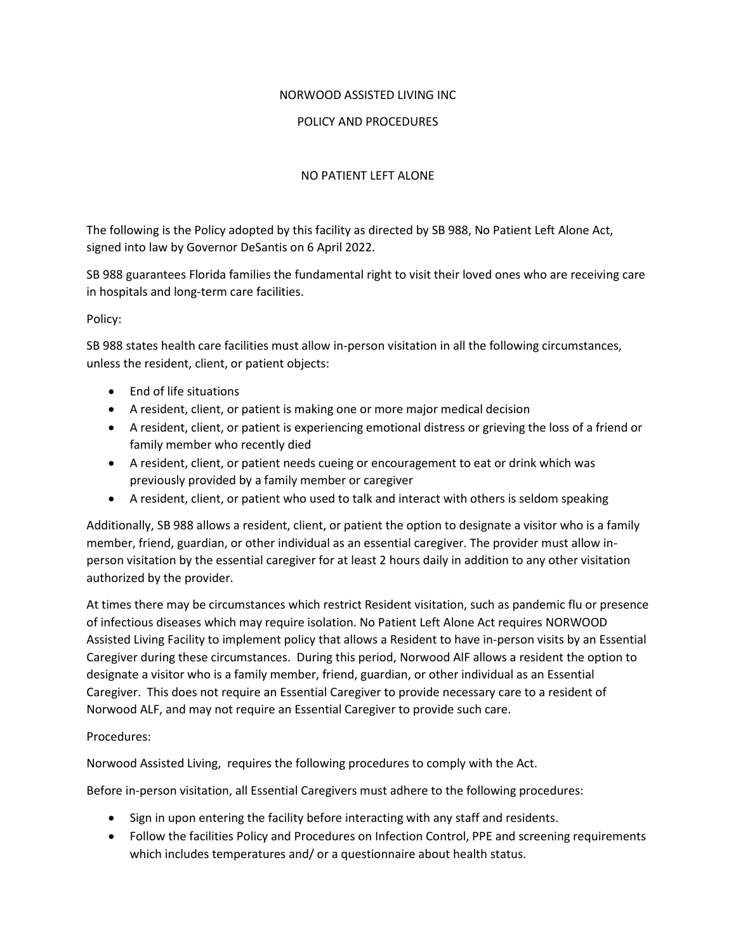## NORWOOD ASSISTED LIVING INC

## POLICY AND PROCEDURES

## NO PATIENT LEFT ALONE

The following is the Policy adopted by this facility as directed by SB 988, No Patient Left Alone Act, signed into law by Governor DeSantis on 6 April 2022.

SB 988 guarantees Florida families the fundamental right to visit their loved ones who are receiving care in hospitals and long-term care facilities.

Policy:

SB 988 states health care facilities must allow in-person visitation in all the following circumstances, unless the resident, client, or patient objects:

- End of life situations
- A resident, client, or patient is making one or more major medical decision
- A resident, client, or patient is experiencing emotional distress or grieving the loss of a friend or family member who recently died
- A resident, client, or patient needs cueing or encouragement to eat or drink which was previously provided by a family member or caregiver
- A resident, client, or patient who used to talk and interact with others is seldom speaking

Additionally, SB 988 allows a resident, client, or patient the option to designate a visitor who is a family member, friend, guardian, or other individual as an essential caregiver. The provider must allow inperson visitation by the essential caregiver for at least 2 hours daily in addition to any other visitation authorized by the provider.

At times there may be circumstances which restrict Resident visitation, such as pandemic flu or presence of infectious diseases which may require isolation. No Patient Left Alone Act requires NORWOOD Assisted Living Facility to implement policy that allows a Resident to have in-person visits by an Essential Caregiver during these circumstances. During this period, Norwood AlF allows a resident the option to designate a visitor who is a family member, friend, guardian, or other individual as an Essential Caregiver. This does not require an Essential Caregiver to provide necessary care to a resident of Norwood ALF, and may not require an Essential Caregiver to provide such care.

## Procedures:

Norwood Assisted Living, requires the following procedures to comply with the Act.

Before in-person visitation, all Essential Caregivers must adhere to the following procedures:

- Sign in upon entering the facility before interacting with any staff and residents.
- Follow the facilities Policy and Procedures on Infection Control, PPE and screening requirements which includes temperatures and/ or a questionnaire about health status.